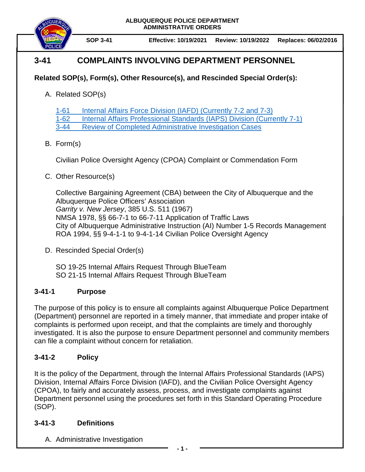

**SOP 3-41 Effective: 10/19/2021 Review: 10/19/2022 Replaces: 06/02/2016**

# **3-41 COMPLAINTS INVOLVING DEPARTMENT PERSONNEL**

## **Related SOP(s), Form(s), Other Resource(s), and Rescinded Special Order(s):**

A. Related SOP(s)

[1-61 Internal Affairs Force Division \(IAFD\)](https://powerdms.com/docs/863576) (Currently 7-2 and 7-3)

[1-62 Internal Affairs Professional Standards \(IAPS\) Division](https://powerdms.com/docs/445) (Currently 7-1)

[3-44 Review of Completed Administrative Investigation Cases](https://powerdms.com/docs/186)

## B. Form(s)

Civilian Police Oversight Agency (CPOA) Complaint or Commendation Form

## C. Other Resource(s)

Collective Bargaining Agreement (CBA) between the City of Albuquerque and the Albuquerque Police Officers' Association *Garrity v. New Jersey*, 385 U.S. 511 (1967) NMSA 1978, §§ 66-7-1 to 66-7-11 Application of Traffic Laws City of Albuquerque Administrative Instruction (AI) Number 1-5 Records Management ROA 1994, §§ 9-4-1-1 to 9-4-1-14 Civilian Police Oversight Agency

D. Rescinded Special Order(s)

SO 19-25 Internal Affairs Request Through BlueTeam SO 21-15 Internal Affairs Request Through BlueTeam

## **3-41-1 Purpose**

The purpose of this policy is to ensure all complaints against Albuquerque Police Department (Department) personnel are reported in a timely manner, that immediate and proper intake of complaints is performed upon receipt, and that the complaints are timely and thoroughly investigated. It is also the purpose to ensure Department personnel and community members can file a complaint without concern for retaliation.

## **3-41-2 Policy**

It is the policy of the Department, through the Internal Affairs Professional Standards (IAPS) Division, Internal Affairs Force Division (IAFD), and the Civilian Police Oversight Agency (CPOA), to fairly and accurately assess, process, and investigate complaints against Department personnel using the procedures set forth in this Standard Operating Procedure (SOP).

### **3-41-3 Definitions**

A. Administrative Investigation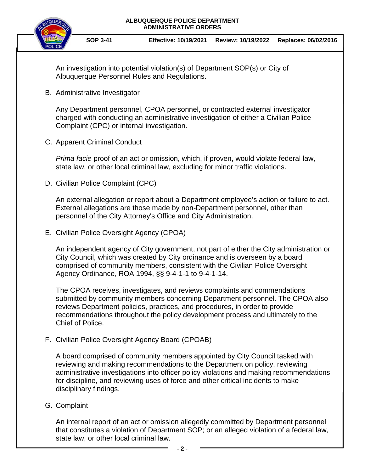

**SOP 3-41 Effective: 10/19/2021 Review: 10/19/2022 Replaces: 06/02/2016**

An investigation into potential violation(s) of Department SOP(s) or City of Albuquerque Personnel Rules and Regulations.

B. Administrative Investigator

Any Department personnel, CPOA personnel, or contracted external investigator charged with conducting an administrative investigation of either a Civilian Police Complaint (CPC) or internal investigation.

C. Apparent Criminal Conduct

*Prima facie* proof of an act or omission, which, if proven, would violate federal law, state law, or other local criminal law, excluding for minor traffic violations.

D. Civilian Police Complaint (CPC)

An external allegation or report about a Department employee's action or failure to act. External allegations are those made by non-Department personnel, other than personnel of the City Attorney's Office and City Administration.

E. Civilian Police Oversight Agency (CPOA)

An independent agency of City government, not part of either the City administration or City Council, which was created by City ordinance and is overseen by a board comprised of community members, consistent with the Civilian Police Oversight Agency Ordinance, ROA 1994, §§ 9-4-1-1 to 9-4-1-14.

The CPOA receives, investigates, and reviews complaints and commendations submitted by community members concerning Department personnel. The CPOA also reviews Department policies, practices, and procedures, in order to provide recommendations throughout the policy development process and ultimately to the Chief of Police.

F. Civilian Police Oversight Agency Board (CPOAB)

A board comprised of community members appointed by City Council tasked with reviewing and making recommendations to the Department on policy, reviewing administrative investigations into officer policy violations and making recommendations for discipline, and reviewing uses of force and other critical incidents to make disciplinary findings.

G. Complaint

An internal report of an act or omission allegedly committed by Department personnel that constitutes a violation of Department SOP; or an alleged violation of a federal law, state law, or other local criminal law.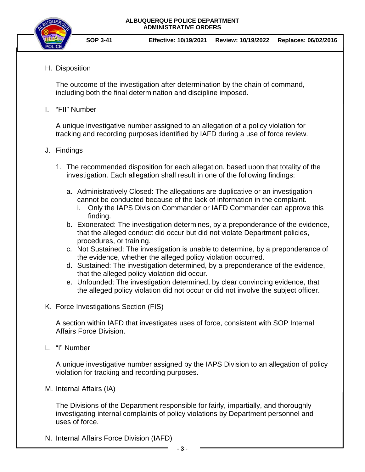

H. Disposition

The outcome of the investigation after determination by the chain of command, including both the final determination and discipline imposed.

I. "FII" Number

A unique investigative number assigned to an allegation of a policy violation for tracking and recording purposes identified by IAFD during a use of force review.

#### J. Findings

- 1. The recommended disposition for each allegation, based upon that totality of the investigation. Each allegation shall result in one of the following findings:
	- a. Administratively Closed: The allegations are duplicative or an investigation cannot be conducted because of the lack of information in the complaint.
		- i. Only the IAPS Division Commander or IAFD Commander can approve this finding.
	- b. Exonerated: The investigation determines, by a preponderance of the evidence, that the alleged conduct did occur but did not violate Department policies, procedures, or training.
	- c. Not Sustained: The investigation is unable to determine, by a preponderance of the evidence, whether the alleged policy violation occurred.
	- d. Sustained: The investigation determined, by a preponderance of the evidence, that the alleged policy violation did occur.
	- e. Unfounded: The investigation determined, by clear convincing evidence, that the alleged policy violation did not occur or did not involve the subject officer.
- K. Force Investigations Section (FIS)

A section within IAFD that investigates uses of force, consistent with SOP Internal Affairs Force Division.

L. "I" Number

A unique investigative number assigned by the IAPS Division to an allegation of policy violation for tracking and recording purposes.

M. Internal Affairs (IA)

The Divisions of the Department responsible for fairly, impartially, and thoroughly investigating internal complaints of policy violations by Department personnel and uses of force.

N. Internal Affairs Force Division (IAFD)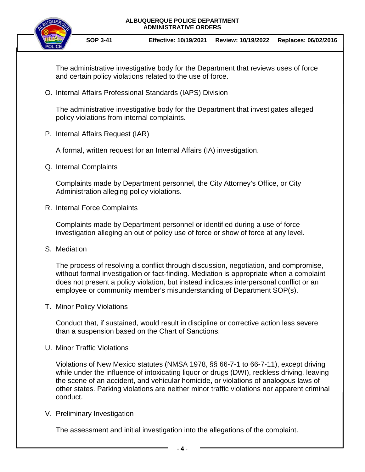

**SOP 3-41 Effective: 10/19/2021 Review: 10/19/2022 Replaces: 06/02/2016**

The administrative investigative body for the Department that reviews uses of force and certain policy violations related to the use of force.

O. Internal Affairs Professional Standards (IAPS) Division

The administrative investigative body for the Department that investigates alleged policy violations from internal complaints.

P. Internal Affairs Request (IAR)

A formal, written request for an Internal Affairs (IA) investigation.

Q. Internal Complaints

Complaints made by Department personnel, the City Attorney's Office, or City Administration alleging policy violations.

R. Internal Force Complaints

Complaints made by Department personnel or identified during a use of force investigation alleging an out of policy use of force or show of force at any level.

S. Mediation

The process of resolving a conflict through discussion, negotiation, and compromise, without formal investigation or fact-finding. Mediation is appropriate when a complaint does not present a policy violation, but instead indicates interpersonal conflict or an employee or community member's misunderstanding of Department SOP(s).

T. Minor Policy Violations

Conduct that, if sustained, would result in discipline or corrective action less severe than a suspension based on the Chart of Sanctions.

U. Minor Traffic Violations

Violations of New Mexico statutes (NMSA 1978, §§ 66-7-1 to 66-7-11), except driving while under the influence of intoxicating liquor or drugs (DWI), reckless driving, leaving the scene of an accident, and vehicular homicide, or violations of analogous laws of other states. Parking violations are neither minor traffic violations nor apparent criminal conduct.

V. Preliminary Investigation

The assessment and initial investigation into the allegations of the complaint.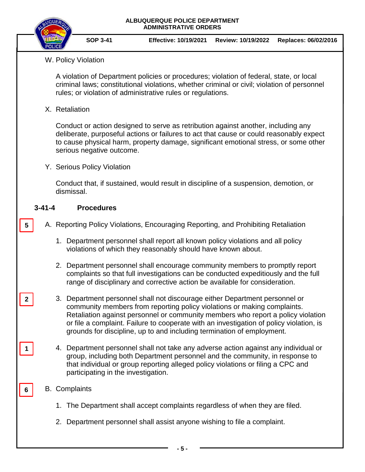

**SOP 3-41 Effective: 10/19/2021 Review: 10/19/2022 Replaces: 06/02/2016**

### W. Policy Violation

A violation of Department policies or procedures; violation of federal, state, or local criminal laws; constitutional violations, whether criminal or civil; violation of personnel rules; or violation of administrative rules or regulations.

X. Retaliation

Conduct or action designed to serve as retribution against another, including any deliberate, purposeful actions or failures to act that cause or could reasonably expect to cause physical harm, property damage, significant emotional stress, or some other serious negative outcome.

Y. Serious Policy Violation

Conduct that, if sustained, would result in discipline of a suspension, demotion, or dismissal.

#### **3-41-4 Procedures**

- A. Reporting Policy Violations, Encouraging Reporting, and Prohibiting Retaliation **5**
	- 1. Department personnel shall report all known policy violations and all policy violations of which they reasonably should have known about.
	- 2. Department personnel shall encourage community members to promptly report complaints so that full investigations can be conducted expeditiously and the full range of disciplinary and corrective action be available for consideration.
	- 3. Department personnel shall not discourage either Department personnel or community members from reporting policy violations or making complaints. Retaliation against personnel or community members who report a policy violation or file a complaint. Failure to cooperate with an investigation of policy violation, is grounds for discipline, up to and including termination of employment.
	- 4. Department personnel shall not take any adverse action against any individual or group, including both Department personnel and the community, in response to that individual or group reporting alleged policy violations or filing a CPC and participating in the investigation.

### B. Complaints

**2**

**1**

**6**

- 1. The Department shall accept complaints regardless of when they are filed.
- 2. Department personnel shall assist anyone wishing to file a complaint.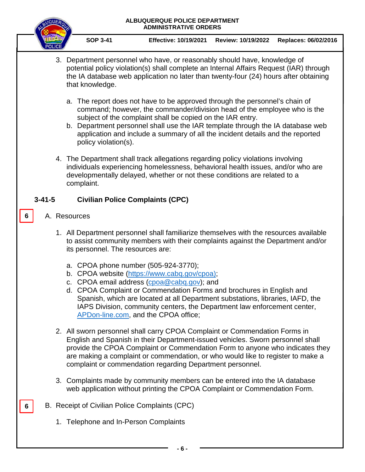

**SOP 3-41 Effective: 10/19/2021 Review: 10/19/2022 Replaces: 06/02/2016**

- 3. Department personnel who have, or reasonably should have, knowledge of potential policy violation(s) shall complete an Internal Affairs Request (IAR) through the IA database web application no later than twenty-four (24) hours after obtaining that knowledge.
	- a. The report does not have to be approved through the personnel's chain of command; however, the commander/division head of the employee who is the subject of the complaint shall be copied on the IAR entry.
	- b. Department personnel shall use the IAR template through the IA database web application and include a summary of all the incident details and the reported policy violation(s).
- 4. The Department shall track allegations regarding policy violations involving individuals experiencing homelessness, behavioral health issues, and/or who are developmentally delayed, whether or not these conditions are related to a complaint.

### **3-41-5 Civilian Police Complaints (CPC)**

A. Resources

**6**

**6**

- 1. All Department personnel shall familiarize themselves with the resources available to assist community members with their complaints against the Department and/or its personnel. The resources are:
	- a. CPOA phone number (505-924-3770);
	- b. CPOA website [\(https://www.cabq.gov/cpoa\)](https://www.cabq.gov/cpoa);
	- c. CPOA email address [\(cpoa@cabq.gov\)](mailto:cpoa@cabq.gov); and
	- d. CPOA Complaint or Commendation Forms and brochures in English and Spanish, which are located at all Department substations, libraries, IAFD, the IAPS Division, community centers, the Department law enforcement center, [APDon-line.com,](https://www.apdonline.com/) and the CPOA office;
- 2. All sworn personnel shall carry CPOA Complaint or Commendation Forms in English and Spanish in their Department-issued vehicles. Sworn personnel shall provide the CPOA Complaint or Commendation Form to anyone who indicates they are making a complaint or commendation, or who would like to register to make a complaint or commendation regarding Department personnel.
- 3. Complaints made by community members can be entered into the IA database web application without printing the CPOA Complaint or Commendation Form.
- B. Receipt of Civilian Police Complaints (CPC)
	- 1. Telephone and In-Person Complaints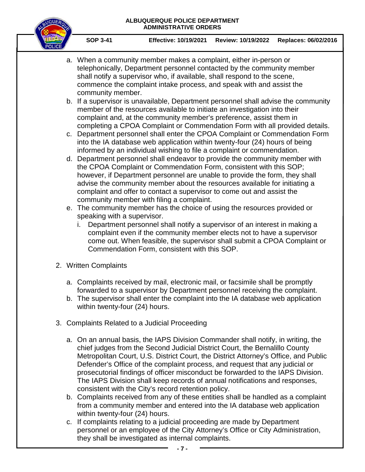

**SOP 3-41 Effective: 10/19/2021 Review: 10/19/2022 Replaces: 06/02/2016**

- a. When a community member makes a complaint, either in-person or telephonically, Department personnel contacted by the community member shall notify a supervisor who, if available, shall respond to the scene, commence the complaint intake process, and speak with and assist the community member.
- b. If a supervisor is unavailable, Department personnel shall advise the community member of the resources available to initiate an investigation into their complaint and, at the community member's preference, assist them in completing a CPOA Complaint or Commendation Form with all provided details.
- c. Department personnel shall enter the CPOA Complaint or Commendation Form into the IA database web application within twenty-four (24) hours of being informed by an individual wishing to file a complaint or commendation.
- d. Department personnel shall endeavor to provide the community member with the CPOA Complaint or Commendation Form, consistent with this SOP; however, if Department personnel are unable to provide the form, they shall advise the community member about the resources available for initiating a complaint and offer to contact a supervisor to come out and assist the community member with filing a complaint.
- e. The community member has the choice of using the resources provided or speaking with a supervisor.
	- i. Department personnel shall notify a supervisor of an interest in making a complaint even if the community member elects not to have a supervisor come out. When feasible, the supervisor shall submit a CPOA Complaint or Commendation Form, consistent with this SOP.
- 2. Written Complaints
	- a. Complaints received by mail, electronic mail, or facsimile shall be promptly forwarded to a supervisor by Department personnel receiving the complaint.
	- b. The supervisor shall enter the complaint into the IA database web application within twenty-four (24) hours.
- 3. Complaints Related to a Judicial Proceeding
	- a. On an annual basis, the IAPS Division Commander shall notify, in writing, the chief judges from the Second Judicial District Court, the Bernalillo County Metropolitan Court, U.S. District Court, the District Attorney's Office, and Public Defender's Office of the complaint process, and request that any judicial or prosecutorial findings of officer misconduct be forwarded to the IAPS Division. The IAPS Division shall keep records of annual notifications and responses, consistent with the City's record retention policy.
	- b. Complaints received from any of these entities shall be handled as a complaint from a community member and entered into the IA database web application within twenty-four (24) hours.
	- c. If complaints relating to a judicial proceeding are made by Department personnel or an employee of the City Attorney's Office or City Administration, they shall be investigated as internal complaints.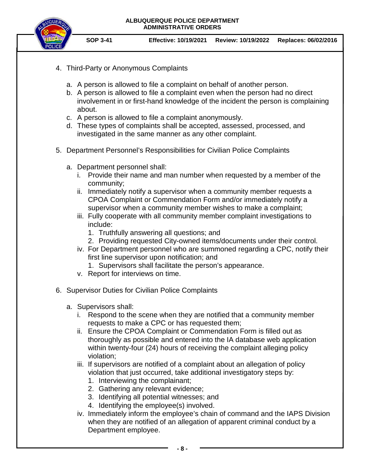

**SOP 3-41 Effective: 10/19/2021 Review: 10/19/2022 Replaces: 06/02/2016**

- 4. Third-Party or Anonymous Complaints
	- a. A person is allowed to file a complaint on behalf of another person.
	- b. A person is allowed to file a complaint even when the person had no direct involvement in or first-hand knowledge of the incident the person is complaining about.
	- c. A person is allowed to file a complaint anonymously.
	- d. These types of complaints shall be accepted, assessed, processed, and investigated in the same manner as any other complaint.
- 5. Department Personnel's Responsibilities for Civilian Police Complaints
	- a. Department personnel shall:
		- i. Provide their name and man number when requested by a member of the community;
		- ii. Immediately notify a supervisor when a community member requests a CPOA Complaint or Commendation Form and/or immediately notify a supervisor when a community member wishes to make a complaint;
		- iii. Fully cooperate with all community member complaint investigations to include:
			- 1. Truthfully answering all questions; and
			- 2. Providing requested City-owned items/documents under their control.
		- iv. For Department personnel who are summoned regarding a CPC, notify their first line supervisor upon notification; and
			- 1. Supervisors shall facilitate the person's appearance.
		- v. Report for interviews on time.
- 6. Supervisor Duties for Civilian Police Complaints
	- a. Supervisors shall:
		- i. Respond to the scene when they are notified that a community member requests to make a CPC or has requested them;
		- ii. Ensure the CPOA Complaint or Commendation Form is filled out as thoroughly as possible and entered into the IA database web application within twenty-four (24) hours of receiving the complaint alleging policy violation;
		- iii. If supervisors are notified of a complaint about an allegation of policy violation that just occurred, take additional investigatory steps by:
			- 1. Interviewing the complainant;
			- 2. Gathering any relevant evidence;
			- 3. Identifying all potential witnesses; and
			- 4. Identifying the employee(s) involved.
		- iv. Immediately inform the employee's chain of command and the IAPS Division when they are notified of an allegation of apparent criminal conduct by a Department employee.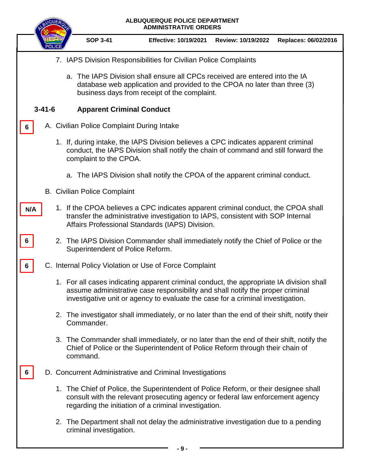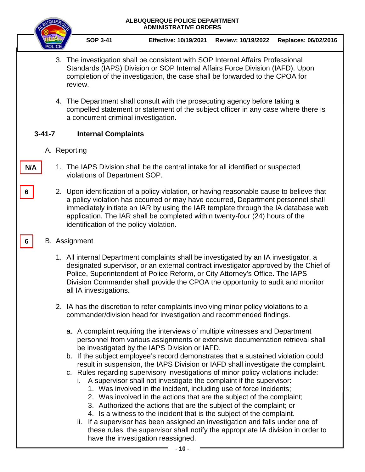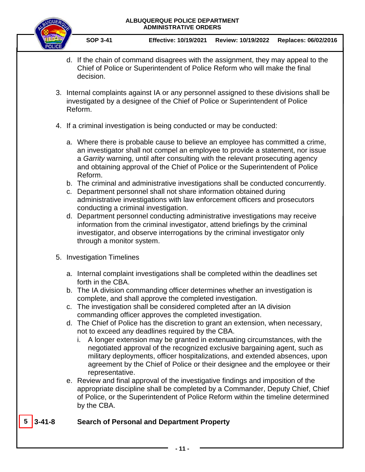

- d. If the chain of command disagrees with the assignment, they may appeal to the Chief of Police or Superintendent of Police Reform who will make the final decision.
- 3. Internal complaints against IA or any personnel assigned to these divisions shall be investigated by a designee of the Chief of Police or Superintendent of Police Reform.
- 4. If a criminal investigation is being conducted or may be conducted:
	- a. Where there is probable cause to believe an employee has committed a crime, an investigator shall not compel an employee to provide a statement, nor issue a *Garrity* warning, until after consulting with the relevant prosecuting agency and obtaining approval of the Chief of Police or the Superintendent of Police Reform.
	- b. The criminal and administrative investigations shall be conducted concurrently.
	- c. Department personnel shall not share information obtained during administrative investigations with law enforcement officers and prosecutors conducting a criminal investigation.
	- d. Department personnel conducting administrative investigations may receive information from the criminal investigator, attend briefings by the criminal investigator, and observe interrogations by the criminal investigator only through a monitor system.
- 5. Investigation Timelines
	- a. Internal complaint investigations shall be completed within the deadlines set forth in the CBA.
	- b. The IA division commanding officer determines whether an investigation is complete, and shall approve the completed investigation.
	- c. The investigation shall be considered completed after an IA division commanding officer approves the completed investigation.
	- d. The Chief of Police has the discretion to grant an extension, when necessary, not to exceed any deadlines required by the CBA.
		- i. A longer extension may be granted in extenuating circumstances, with the negotiated approval of the recognized exclusive bargaining agent, such as military deployments, officer hospitalizations, and extended absences, upon agreement by the Chief of Police or their designee and the employee or their representative.
	- e. Review and final approval of the investigative findings and imposition of the appropriate discipline shall be completed by a Commander, Deputy Chief, Chief of Police, or the Superintendent of Police Reform within the timeline determined by the CBA.

### **5 3-41-8 Search of Personal and Department Property**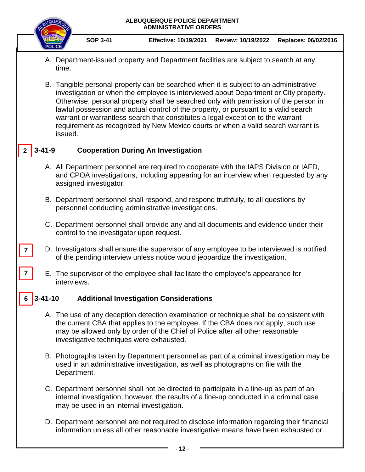|              | ALBUQUERQUE POLICE DEPARTMENT<br><b>ADMINISTRATIVE ORDERS</b>   |                                                                                                                                                                                                                                                                                                                                                                                                                                                                                                                                                |                                           |                                                                                                                                                                                                                                                                                                            |                    |                      |  |  |  |  |
|--------------|-----------------------------------------------------------------|------------------------------------------------------------------------------------------------------------------------------------------------------------------------------------------------------------------------------------------------------------------------------------------------------------------------------------------------------------------------------------------------------------------------------------------------------------------------------------------------------------------------------------------------|-------------------------------------------|------------------------------------------------------------------------------------------------------------------------------------------------------------------------------------------------------------------------------------------------------------------------------------------------------------|--------------------|----------------------|--|--|--|--|
|              |                                                                 |                                                                                                                                                                                                                                                                                                                                                                                                                                                                                                                                                | <b>SOP 3-41</b>                           | <b>Effective: 10/19/2021</b>                                                                                                                                                                                                                                                                               | Review: 10/19/2022 | Replaces: 06/02/2016 |  |  |  |  |
|              |                                                                 | time.                                                                                                                                                                                                                                                                                                                                                                                                                                                                                                                                          |                                           | A. Department-issued property and Department facilities are subject to search at any                                                                                                                                                                                                                       |                    |                      |  |  |  |  |
|              |                                                                 | B. Tangible personal property can be searched when it is subject to an administrative<br>investigation or when the employee is interviewed about Department or City property.<br>Otherwise, personal property shall be searched only with permission of the person in<br>lawful possession and actual control of the property, or pursuant to a valid search<br>warrant or warrantless search that constitutes a legal exception to the warrant<br>requirement as recognized by New Mexico courts or when a valid search warrant is<br>issued. |                                           |                                                                                                                                                                                                                                                                                                            |                    |                      |  |  |  |  |
|              | $3 - 41 - 9$                                                    |                                                                                                                                                                                                                                                                                                                                                                                                                                                                                                                                                |                                           | <b>Cooperation During An Investigation</b>                                                                                                                                                                                                                                                                 |                    |                      |  |  |  |  |
|              |                                                                 |                                                                                                                                                                                                                                                                                                                                                                                                                                                                                                                                                | assigned investigator.                    | A. All Department personnel are required to cooperate with the IAPS Division or IAFD,<br>and CPOA investigations, including appearing for an interview when requested by any                                                                                                                               |                    |                      |  |  |  |  |
|              |                                                                 |                                                                                                                                                                                                                                                                                                                                                                                                                                                                                                                                                |                                           | B. Department personnel shall respond, and respond truthfully, to all questions by<br>personnel conducting administrative investigations.                                                                                                                                                                  |                    |                      |  |  |  |  |
|              |                                                                 |                                                                                                                                                                                                                                                                                                                                                                                                                                                                                                                                                | control to the investigator upon request. | C. Department personnel shall provide any and all documents and evidence under their                                                                                                                                                                                                                       |                    |                      |  |  |  |  |
|              |                                                                 |                                                                                                                                                                                                                                                                                                                                                                                                                                                                                                                                                |                                           | D. Investigators shall ensure the supervisor of any employee to be interviewed is notified<br>of the pending interview unless notice would jeopardize the investigation.                                                                                                                                   |                    |                      |  |  |  |  |
| $\mathbf{7}$ |                                                                 | interviews                                                                                                                                                                                                                                                                                                                                                                                                                                                                                                                                     |                                           | E. The supervisor of the employee shall facilitate the employee's appearance for                                                                                                                                                                                                                           |                    |                      |  |  |  |  |
|              | <b>Additional Investigation Considerations</b><br>$3 - 41 - 10$ |                                                                                                                                                                                                                                                                                                                                                                                                                                                                                                                                                |                                           |                                                                                                                                                                                                                                                                                                            |                    |                      |  |  |  |  |
|              |                                                                 |                                                                                                                                                                                                                                                                                                                                                                                                                                                                                                                                                |                                           | A. The use of any deception detection examination or technique shall be consistent with<br>the current CBA that applies to the employee. If the CBA does not apply, such use<br>may be allowed only by order of the Chief of Police after all other reasonable<br>investigative techniques were exhausted. |                    |                      |  |  |  |  |
|              |                                                                 |                                                                                                                                                                                                                                                                                                                                                                                                                                                                                                                                                | Department.                               | B. Photographs taken by Department personnel as part of a criminal investigation may be<br>used in an administrative investigation, as well as photographs on file with the                                                                                                                                |                    |                      |  |  |  |  |
|              |                                                                 |                                                                                                                                                                                                                                                                                                                                                                                                                                                                                                                                                | may be used in an internal investigation. | C. Department personnel shall not be directed to participate in a line-up as part of an<br>internal investigation; however, the results of a line-up conducted in a criminal case                                                                                                                          |                    |                      |  |  |  |  |
|              |                                                                 |                                                                                                                                                                                                                                                                                                                                                                                                                                                                                                                                                |                                           | D. Department personnel are not required to disclose information regarding their financial<br>information unless all other reasonable investigative means have been exhausted or                                                                                                                           |                    |                      |  |  |  |  |